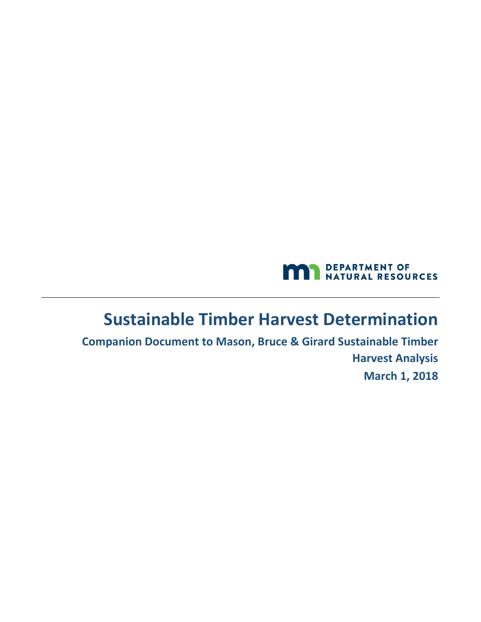

## **Sustainable Timber Harvest Determination**

**Companion Document to Mason, Bruce & Girard Sustainable Timber Harvest Analysis March 1, 2018**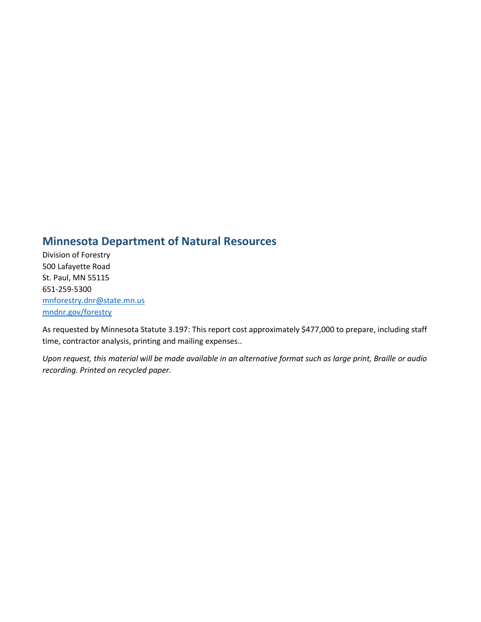### **Minnesota Department of Natural Resources**

Division of Forestry 500 Lafayette Road St. Paul, MN 55115 651-259-5300 [mnforestry.dnr@state.mn.us](mailto:mnforestry.dnr@state.mn.us) [mndnr.gov/forestry](http://)

As requested by Minnesota Statute 3.197: This report cost approximately \$477,000 to prepare, including staff time, contractor analysis, printing and mailing expenses..

*Upon request, this material will be made available in an alternative format such as large print, Braille or audio recording. Printed on recycled paper.*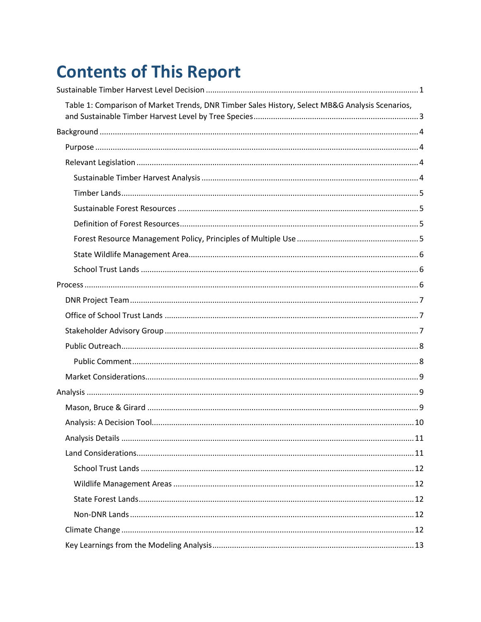# **Contents of This Report**

| Table 1: Comparison of Market Trends, DNR Timber Sales History, Select MB&G Analysis Scenarios, |  |
|-------------------------------------------------------------------------------------------------|--|
|                                                                                                 |  |
|                                                                                                 |  |
|                                                                                                 |  |
|                                                                                                 |  |
|                                                                                                 |  |
|                                                                                                 |  |
|                                                                                                 |  |
|                                                                                                 |  |
|                                                                                                 |  |
|                                                                                                 |  |
|                                                                                                 |  |
|                                                                                                 |  |
|                                                                                                 |  |
|                                                                                                 |  |
|                                                                                                 |  |
|                                                                                                 |  |
|                                                                                                 |  |
|                                                                                                 |  |
|                                                                                                 |  |
|                                                                                                 |  |
|                                                                                                 |  |
|                                                                                                 |  |
|                                                                                                 |  |
|                                                                                                 |  |
|                                                                                                 |  |
|                                                                                                 |  |
|                                                                                                 |  |
|                                                                                                 |  |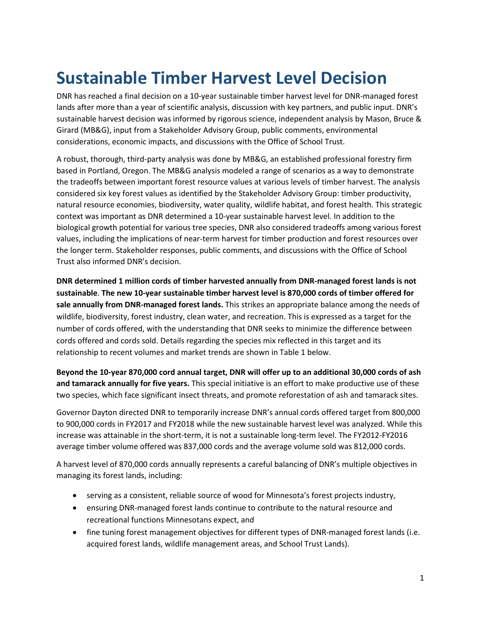# <span id="page-4-0"></span>**Sustainable Timber Harvest Level Decision**

DNR has reached a final decision on a 10-year sustainable timber harvest level for DNR-managed forest lands after more than a year of scientific analysis, discussion with key partners, and public input. DNR's sustainable harvest decision was informed by rigorous science, independent analysis by Mason, Bruce & Girard (MB&G), input from a Stakeholder Advisory Group, public comments, environmental considerations, economic impacts, and discussions with the Office of School Trust.

A robust, thorough, third-party analysis was done by MB&G, an established professional forestry firm based in Portland, Oregon. The MB&G analysis modeled a range of scenarios as a way to demonstrate the tradeoffs between important forest resource values at various levels of timber harvest. The analysis considered six key forest values as identified by the Stakeholder Advisory Group: timber productivity, natural resource economies, biodiversity, water quality, wildlife habitat, and forest health. This strategic context was important as DNR determined a 10-year sustainable harvest level. In addition to the biological growth potential for various tree species, DNR also considered tradeoffs among various forest values, including the implications of near-term harvest for timber production and forest resources over the longer term. Stakeholder responses, public comments, and discussions with the Office of School Trust also informed DNR's decision.

**DNR determined 1 million cords of timber harvested annually from DNR-managed forest lands is not sustainable**. **The new 10-year sustainable timber harvest level is 870,000 cords of timber offered for sale annually from DNR-managed forest lands.** This strikes an appropriate balance among the needs of wildlife, biodiversity, forest industry, clean water, and recreation. This is expressed as a target for the number of cords offered, with the understanding that DNR seeks to minimize the difference between cords offered and cords sold. Details regarding the species mix reflected in this target and its relationship to recent volumes and market trends are shown in Table 1 below.

**Beyond the 10-year 870,000 cord annual target, DNR will offer up to an additional 30,000 cords of ash and tamarack annually for five years.** This special initiative is an effort to make productive use of these two species, which face significant insect threats, and promote reforestation of ash and tamarack sites.

Governor Dayton directed DNR to temporarily increase DNR's annual cords offered target from 800,000 to 900,000 cords in FY2017 and FY2018 while the new sustainable harvest level was analyzed. While this increase was attainable in the short-term, it is not a sustainable long-term level. The FY2012-FY2016 average timber volume offered was 837,000 cords and the average volume sold was 812,000 cords.

A harvest level of 870,000 cords annually represents a careful balancing of DNR's multiple objectives in managing its forest lands, including:

- serving as a consistent, reliable source of wood for Minnesota's forest projects industry,
- ensuring DNR-managed forest lands continue to contribute to the natural resource and recreational functions Minnesotans expect, and
- fine tuning forest management objectives for different types of DNR-managed forest lands (i.e. acquired forest lands, wildlife management areas, and School Trust Lands).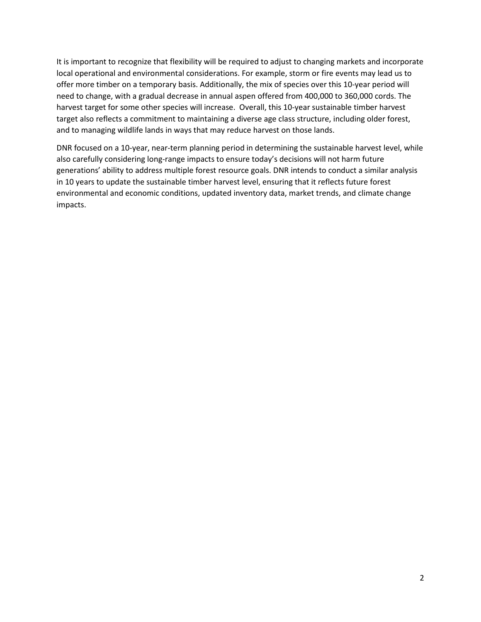It is important to recognize that flexibility will be required to adjust to changing markets and incorporate local operational and environmental considerations. For example, storm or fire events may lead us to offer more timber on a temporary basis. Additionally, the mix of species over this 10-year period will need to change, with a gradual decrease in annual aspen offered from 400,000 to 360,000 cords. The harvest target for some other species will increase. Overall, this 10-year sustainable timber harvest target also reflects a commitment to maintaining a diverse age class structure, including older forest, and to managing wildlife lands in ways that may reduce harvest on those lands.

DNR focused on a 10-year, near-term planning period in determining the sustainable harvest level, while also carefully considering long-range impacts to ensure today's decisions will not harm future generations' ability to address multiple forest resource goals. DNR intends to conduct a similar analysis in 10 years to update the sustainable timber harvest level, ensuring that it reflects future forest environmental and economic conditions, updated inventory data, market trends, and climate change impacts.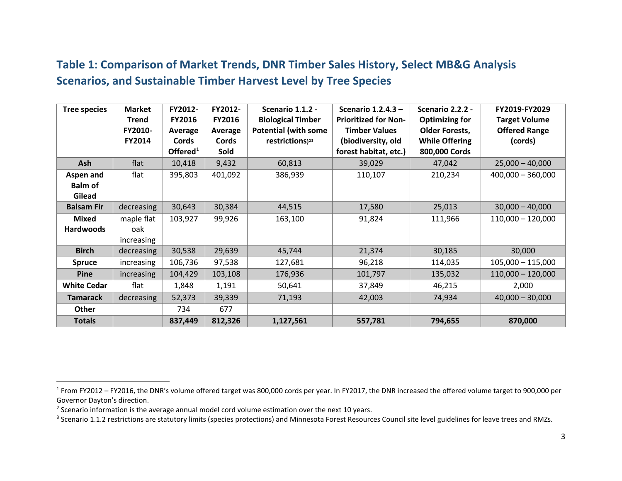## <span id="page-6-3"></span><span id="page-6-2"></span><span id="page-6-1"></span>**Table 1: Comparison of Market Trends, DNR Timber Sales History, Select MB&G Analysis Scenarios, and Sustainable Timber Harvest Level by Tree Species**

<span id="page-6-0"></span>

| <b>Tree species</b>                   | <b>Market</b><br><b>Trend</b><br>FY2010-<br>FY2014 | FY2012-<br>FY2016<br>Average<br><b>Cords</b><br>Offered $1$ | FY2012-<br>FY2016<br>Average<br>Cords<br>Sold | Scenario 1.1.2 -<br><b>Biological Timber</b><br><b>Potential (with some</b><br>restrictions) <sup>23</sup> | Scenario 1.2.4.3-<br><b>Prioritized for Non-</b><br><b>Timber Values</b><br>(biodiversity, old<br>forest habitat, etc.) | <b>Scenario 2.2.2 -</b><br><b>Optimizing for</b><br><b>Older Forests,</b><br><b>While Offering</b><br>800,000 Cords | FY2019-FY2029<br><b>Target Volume</b><br><b>Offered Range</b><br>(cords) |
|---------------------------------------|----------------------------------------------------|-------------------------------------------------------------|-----------------------------------------------|------------------------------------------------------------------------------------------------------------|-------------------------------------------------------------------------------------------------------------------------|---------------------------------------------------------------------------------------------------------------------|--------------------------------------------------------------------------|
| Ash                                   | flat                                               | 10,418                                                      | 9,432                                         | 60,813                                                                                                     | 39,029                                                                                                                  | 47,042                                                                                                              | $25,000 - 40,000$                                                        |
| Aspen and<br><b>Balm of</b><br>Gilead | flat                                               | 395,803                                                     | 401,092                                       | 386,939                                                                                                    | 110,107                                                                                                                 | 210,234                                                                                                             | $400,000 - 360,000$                                                      |
| <b>Balsam Fir</b>                     | decreasing                                         | 30,643                                                      | 30,384                                        | 44,515                                                                                                     | 17,580                                                                                                                  | 25,013                                                                                                              | $30,000 - 40,000$                                                        |
| <b>Mixed</b><br><b>Hardwoods</b>      | maple flat<br>oak<br>increasing                    | 103,927                                                     | 99,926                                        | 163,100                                                                                                    | 91,824                                                                                                                  | 111,966                                                                                                             | $110,000 - 120,000$                                                      |
| <b>Birch</b>                          | decreasing                                         | 30,538                                                      | 29,639                                        | 45,744                                                                                                     | 21,374                                                                                                                  | 30,185                                                                                                              | 30,000                                                                   |
| <b>Spruce</b>                         | increasing                                         | 106,736                                                     | 97,538                                        | 127,681                                                                                                    | 96,218                                                                                                                  | 114,035                                                                                                             | $105,000 - 115,000$                                                      |
| <b>Pine</b>                           | increasing                                         | 104,429                                                     | 103,108                                       | 176,936                                                                                                    | 101,797                                                                                                                 | 135,032                                                                                                             | $110,000 - 120,000$                                                      |
| <b>White Cedar</b>                    | flat                                               | 1,848                                                       | 1,191                                         | 50,641                                                                                                     | 37,849                                                                                                                  | 46,215                                                                                                              | 2,000                                                                    |
| <b>Tamarack</b>                       | decreasing                                         | 52,373                                                      | 39,339                                        | 71,193                                                                                                     | 42,003                                                                                                                  | 74,934                                                                                                              | $40,000 - 30,000$                                                        |
| Other                                 |                                                    | 734                                                         | 677                                           |                                                                                                            |                                                                                                                         |                                                                                                                     |                                                                          |
| <b>Totals</b>                         |                                                    | 837,449                                                     | 812,326                                       | 1,127,561                                                                                                  | 557,781                                                                                                                 | 794,655                                                                                                             | 870,000                                                                  |

 $\overline{\phantom{a}}$ 

<sup>&</sup>lt;sup>1</sup> From FY2012 – FY2016, the DNR's volume offered target was 800,000 cords per year. In FY2017, the DNR increased the offered volume target to 900,000 per Governor Dayton's direction.<br><sup>2</sup> Scenario information is the average annual model cord volume estimation over the next 10 years.

<sup>&</sup>lt;sup>3</sup> Scenario 1.1.2 restrictions are statutory limits (species protections) and Minnesota Forest Resources Council site level guidelines for leave trees and RMZs.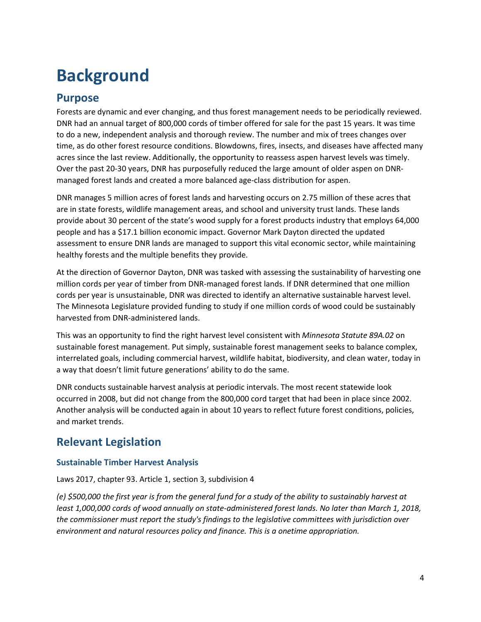# <span id="page-7-0"></span>**Background**

## <span id="page-7-1"></span>**Purpose**

Forests are dynamic and ever changing, and thus forest management needs to be periodically reviewed. DNR had an annual target of 800,000 cords of timber offered for sale for the past 15 years. It was time to do a new, independent analysis and thorough review. The number and mix of trees changes over time, as do other forest resource conditions. Blowdowns, fires, insects, and diseases have affected many acres since the last review. Additionally, the opportunity to reassess aspen harvest levels was timely. Over the past 20-30 years, DNR has purposefully reduced the large amount of older aspen on DNRmanaged forest lands and created a more balanced age-class distribution for aspen.

DNR manages 5 million acres of forest lands and harvesting occurs on 2.75 million of these acres that are in state forests, wildlife management areas, and school and university trust lands. These lands provide about 30 percent of the state's wood supply for a forest products industry that employs 64,000 people and has a \$17.1 billion economic impact. Governor Mark Dayton directed the updated assessment to ensure DNR lands are managed to support this vital economic sector, while maintaining healthy forests and the multiple benefits they provide.

At the direction of Governor Dayton, DNR was tasked with assessing the sustainability of harvesting one million cords per year of timber from DNR-managed forest lands. If DNR determined that one million cords per year is unsustainable, DNR was directed to identify an alternative sustainable harvest level. The Minnesota Legislature provided funding to study if one million cords of wood could be sustainably harvested from DNR-administered lands.

This was an opportunity to find the right harvest level consistent with *Minnesota Statute 89A.02* on sustainable forest management. Put simply, sustainable forest management seeks to balance complex, interrelated goals, including commercial harvest, wildlife habitat, biodiversity, and clean water, today in a way that doesn't limit future generations' ability to do the same.

DNR conducts sustainable harvest analysis at periodic intervals. The most recent statewide look occurred in 2008, but did not change from the 800,000 cord target that had been in place since 2002. Another analysis will be conducted again in about 10 years to reflect future forest conditions, policies, and market trends.

## <span id="page-7-2"></span>**Relevant Legislation**

#### <span id="page-7-3"></span>**Sustainable Timber Harvest Analysis**

Laws 2017, chapter 93. Article 1, section 3, subdivision 4

*(e) \$500,000 the first year is from the general fund for a study of the ability to sustainably harvest at least 1,000,000 cords of wood annually on state-administered forest lands. No later than March 1, 2018, the commissioner must report the study's findings to the legislative committees with jurisdiction over environment and natural resources policy and finance. This is a onetime appropriation.*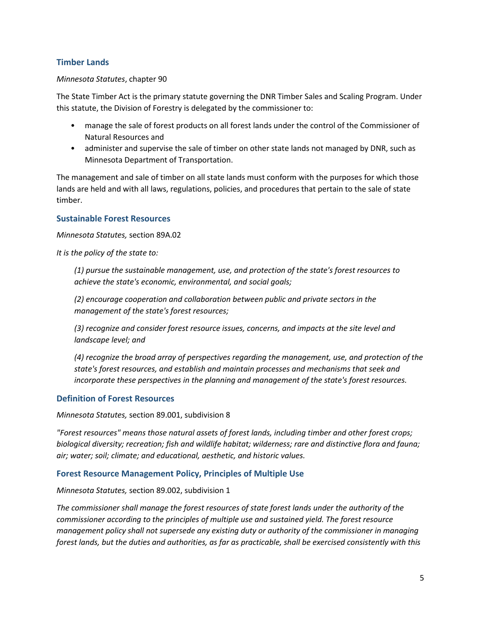#### <span id="page-8-0"></span>**Timber Lands**

#### *Minnesota Statutes*, chapter 90

The State Timber Act is the primary statute governing the DNR Timber Sales and Scaling Program. Under this statute, the Division of Forestry is delegated by the commissioner to:

- manage the sale of forest products on all forest lands under the control of the Commissioner of Natural Resources and
- administer and supervise the sale of timber on other state lands not managed by DNR, such as Minnesota Department of Transportation.

The management and sale of timber on all state lands must conform with the purposes for which those lands are held and with all laws, regulations, policies, and procedures that pertain to the sale of state timber.

#### <span id="page-8-1"></span>**Sustainable Forest Resources**

*Minnesota Statutes,* section 89A.02

*It is the policy of the state to:*

*(1) pursue the sustainable management, use, and protection of the state's forest resources to achieve the state's economic, environmental, and social goals;*

*(2) encourage cooperation and collaboration between public and private sectors in the management of the state's forest resources;*

*(3) recognize and consider forest resource issues, concerns, and impacts at the site level and landscape level; and*

*(4) recognize the broad array of perspectives regarding the management, use, and protection of the state's forest resources, and establish and maintain processes and mechanisms that seek and incorporate these perspectives in the planning and management of the state's forest resources.*

#### <span id="page-8-2"></span>**Definition of Forest Resources**

*Minnesota Statutes,* section 89.001, subdivision 8

*"Forest resources" means those natural assets of forest lands, including timber and other forest crops; biological diversity; recreation; fish and wildlife habitat; wilderness; rare and distinctive flora and fauna; air; water; soil; climate; and educational, aesthetic, and historic values.*

#### <span id="page-8-3"></span>**Forest Resource Management Policy, Principles of Multiple Use**

*Minnesota Statutes,* section 89.002, subdivision 1

*The commissioner shall manage the forest resources of state forest lands under the authority of the commissioner according to the principles of multiple use and sustained yield. The forest resource management policy shall not supersede any existing duty or authority of the commissioner in managing forest lands, but the duties and authorities, as far as practicable, shall be exercised consistently with this*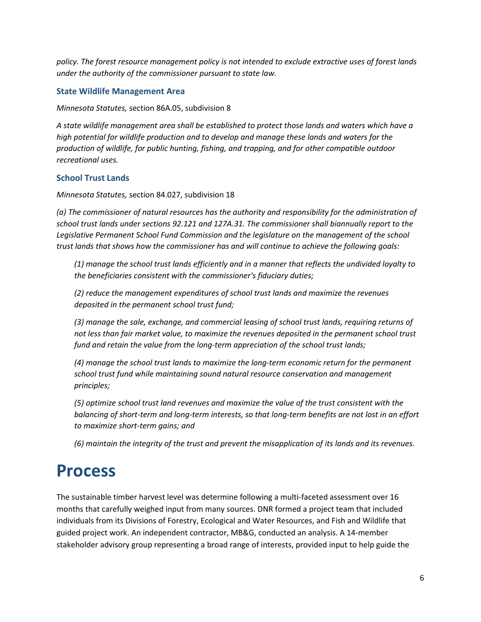*policy. The forest resource management policy is not intended to exclude extractive uses of forest lands under the authority of the commissioner pursuant to state law.*

#### <span id="page-9-0"></span>**State Wildlife Management Area**

*Minnesota Statutes,* section 86A.05, subdivision 8

*A state wildlife management area shall be established to protect those lands and waters which have a high potential for wildlife production and to develop and manage these lands and waters for the production of wildlife, for public hunting, fishing, and trapping, and for other compatible outdoor recreational uses.*

#### <span id="page-9-1"></span>**School Trust Lands**

*Minnesota Statutes,* section 84.027, subdivision 18

*(a) The commissioner of natural resources has the authority and responsibility for the administration of school trust lands under section[s 92.121](https://www.revisor.mn.gov/statutes/?id=92.121) and [127A.31.](https://www.revisor.mn.gov/statutes/?id=127A.31) The commissioner shall biannually report to the Legislative Permanent School Fund Commission and the legislature on the management of the school trust lands that shows how the commissioner has and will continue to achieve the following goals:*

*(1) manage the school trust lands efficiently and in a manner that reflects the undivided loyalty to the beneficiaries consistent with the commissioner's fiduciary duties;*

*(2) reduce the management expenditures of school trust lands and maximize the revenues deposited in the permanent school trust fund;*

*(3) manage the sale, exchange, and commercial leasing of school trust lands, requiring returns of not less than fair market value, to maximize the revenues deposited in the permanent school trust fund and retain the value from the long-term appreciation of the school trust lands;*

*(4) manage the school trust lands to maximize the long-term economic return for the permanent school trust fund while maintaining sound natural resource conservation and management principles;*

*(5) optimize school trust land revenues and maximize the value of the trust consistent with the balancing of short-term and long-term interests, so that long-term benefits are not lost in an effort to maximize short-term gains; and*

*(6) maintain the integrity of the trust and prevent the misapplication of its lands and its revenues.*

## <span id="page-9-2"></span>**Process**

The sustainable timber harvest level was determine following a multi-faceted assessment over 16 months that carefully weighed input from many sources. DNR formed a project team that included individuals from its Divisions of Forestry, Ecological and Water Resources, and Fish and Wildlife that guided project work. An independent contractor, MB&G, conducted an analysis. A 14-member stakeholder advisory group representing a broad range of interests, provided input to help guide the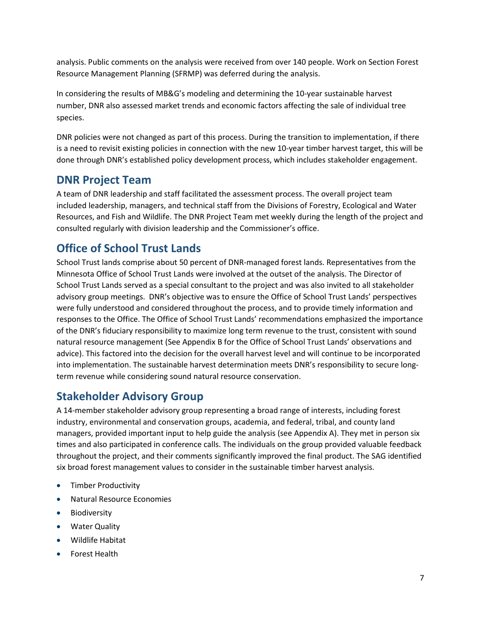analysis. Public comments on the analysis were received from over 140 people. Work on Section Forest Resource Management Planning (SFRMP) was deferred during the analysis.

In considering the results of MB&G's modeling and determining the 10-year sustainable harvest number, DNR also assessed market trends and economic factors affecting the sale of individual tree species.

DNR policies were not changed as part of this process. During the transition to implementation, if there is a need to revisit existing policies in connection with the new 10-year timber harvest target, this will be done through DNR's established policy development process, which includes stakeholder engagement.

## <span id="page-10-0"></span>**DNR Project Team**

A team of DNR leadership and staff facilitated the assessment process. The overall project team included leadership, managers, and technical staff from the Divisions of Forestry, Ecological and Water Resources, and Fish and Wildlife. The DNR Project Team met weekly during the length of the project and consulted regularly with division leadership and the Commissioner's office.

## <span id="page-10-1"></span>**Office of School Trust Lands**

School Trust lands comprise about 50 percent of DNR-managed forest lands. Representatives from the Minnesota Office of School Trust Lands were involved at the outset of the analysis. The Director of School Trust Lands served as a special consultant to the project and was also invited to all stakeholder advisory group meetings. DNR's objective was to ensure the Office of School Trust Lands' perspectives were fully understood and considered throughout the process, and to provide timely information and responses to the Office. The Office of School Trust Lands' recommendations emphasized the importance of the DNR's fiduciary responsibility to maximize long term revenue to the trust, consistent with sound natural resource management (See Appendix B for the Office of School Trust Lands' observations and advice). This factored into the decision for the overall harvest level and will continue to be incorporated into implementation. The sustainable harvest determination meets DNR's responsibility to secure longterm revenue while considering sound natural resource conservation.

## <span id="page-10-2"></span>**Stakeholder Advisory Group**

A 14-member stakeholder advisory group representing a broad range of interests, including forest industry, environmental and conservation groups, academia, and federal, tribal, and county land managers, provided important input to help guide the analysis (see Appendix A). They met in person six times and also participated in conference calls. The individuals on the group provided valuable feedback throughout the project, and their comments significantly improved the final product. The SAG identified six broad forest management values to consider in the sustainable timber harvest analysis.

- Timber Productivity
- Natural Resource Economies
- Biodiversity
- Water Quality
- Wildlife Habitat
- Forest Health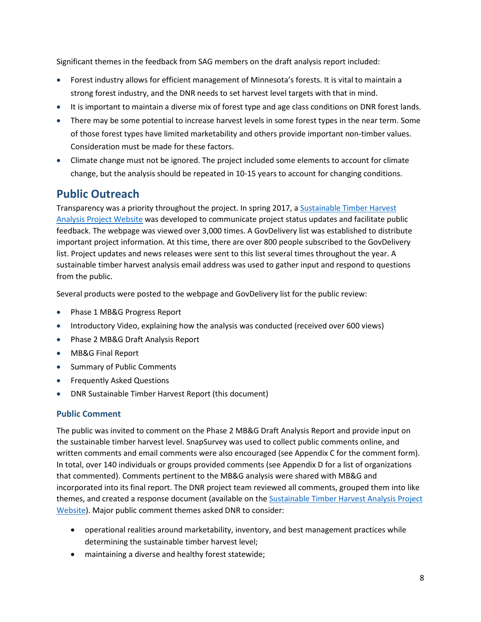Significant themes in the feedback from SAG members on the draft analysis report included:

- Forest industry allows for efficient management of Minnesota's forests. It is vital to maintain a strong forest industry, and the DNR needs to set harvest level targets with that in mind.
- It is important to maintain a diverse mix of forest type and age class conditions on DNR forest lands.
- There may be some potential to increase harvest levels in some forest types in the near term. Some of those forest types have limited marketability and others provide important non-timber values. Consideration must be made for these factors.
- Climate change must not be ignored. The project included some elements to account for climate change, but the analysis should be repeated in 10-15 years to account for changing conditions.

## <span id="page-11-0"></span>**Public Outreach**

Transparency was a priority throughout the project. In spring 2017, a [Sustainable Timber Harvest](http://www.dnr.state.mn.us/forestry/harvest-analysis/index.html)  [Analysis Project Website](http://www.dnr.state.mn.us/forestry/harvest-analysis/index.html) was developed to communicate project status updates and facilitate public feedback. The webpage was viewed over 3,000 times. A GovDelivery list was established to distribute important project information. At this time, there are over 800 people subscribed to the GovDelivery list. Project updates and news releases were sent to this list several times throughout the year. A sustainable timber harvest analysis email address was used to gather input and respond to questions from the public.

Several products were posted to the webpage and GovDelivery list for the public review:

- Phase 1 MB&G Progress Report
- Introductory Video, explaining how the analysis was conducted (received over 600 views)
- Phase 2 MB&G Draft Analysis Report
- MB&G Final Report
- Summary of Public Comments
- Frequently Asked Questions
- DNR Sustainable Timber Harvest Report (this document)

#### <span id="page-11-1"></span>**Public Comment**

The public was invited to comment on the Phase 2 MB&G Draft Analysis Report and provide input on the sustainable timber harvest level. SnapSurvey was used to collect public comments online, and written comments and email comments were also encouraged (see Appendix C for the comment form). In total, over 140 individuals or groups provided comments (see Appendix D for a list of organizations that commented). Comments pertinent to the MB&G analysis were shared with MB&G and incorporated into its final report. The DNR project team reviewed all comments, grouped them into like themes, and created a response document (available on the [Sustainable Timber Harvest Analysis Project](http://www.dnr.state.mn.us/forestry/harvest-analysis/index.html)  [Website\)](http://www.dnr.state.mn.us/forestry/harvest-analysis/index.html). Major public comment themes asked DNR to consider:

- operational realities around marketability, inventory, and best management practices while determining the sustainable timber harvest level;
- maintaining a diverse and healthy forest statewide;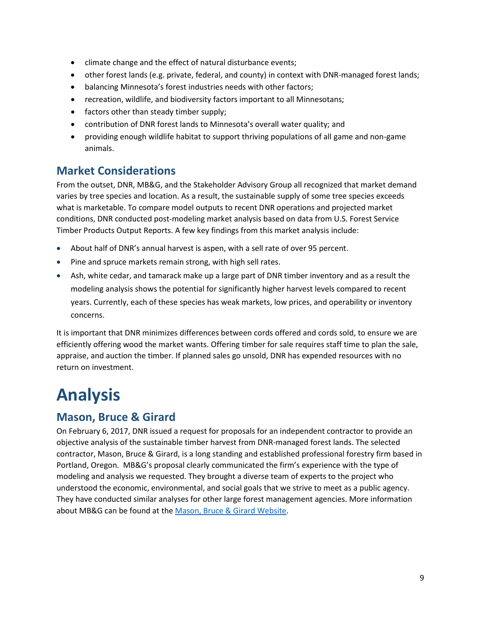- climate change and the effect of natural disturbance events;
- other forest lands (e.g. private, federal, and county) in context with DNR-managed forest lands;
- balancing Minnesota's forest industries needs with other factors;
- recreation, wildlife, and biodiversity factors important to all Minnesotans;
- factors other than steady timber supply;
- contribution of DNR forest lands to Minnesota's overall water quality; and
- providing enough wildlife habitat to support thriving populations of all game and non-game animals.

## <span id="page-12-0"></span>**Market Considerations**

From the outset, DNR, MB&G, and the Stakeholder Advisory Group all recognized that market demand varies by tree species and location. As a result, the sustainable supply of some tree species exceeds what is marketable. To compare model outputs to recent DNR operations and projected market conditions, DNR conducted post-modeling market analysis based on data from U.S. Forest Service Timber Products Output Reports. A few key findings from this market analysis include:

- About half of DNR's annual harvest is aspen, with a sell rate of over 95 percent.
- Pine and spruce markets remain strong, with high sell rates.
- Ash, white cedar, and tamarack make up a large part of DNR timber inventory and as a result the modeling analysis shows the potential for significantly higher harvest levels compared to recent years. Currently, each of these species has weak markets, low prices, and operability or inventory concerns.

It is important that DNR minimizes differences between cords offered and cords sold, to ensure we are efficiently offering wood the market wants. Offering timber for sale requires staff time to plan the sale, appraise, and auction the timber. If planned sales go unsold, DNR has expended resources with no return on investment.

# <span id="page-12-1"></span>**Analysis**

## <span id="page-12-2"></span>**Mason, Bruce & Girard**

On February 6, 2017, DNR issued a request for proposals for an independent contractor to provide an objective analysis of the sustainable timber harvest from DNR-managed forest lands. The selected contractor, Mason, Bruce & Girard, is a long standing and established professional forestry firm based in Portland, Oregon. MB&G's proposal clearly communicated the firm's experience with the type of modeling and analysis we requested. They brought a diverse team of experts to the project who understood the economic, environmental, and social goals that we strive to meet as a public agency. They have conducted similar analyses for other large forest management agencies. More information about MB&G can be found at the [Mason, Bruce & Girard Website.](http://www.masonbruce.com/)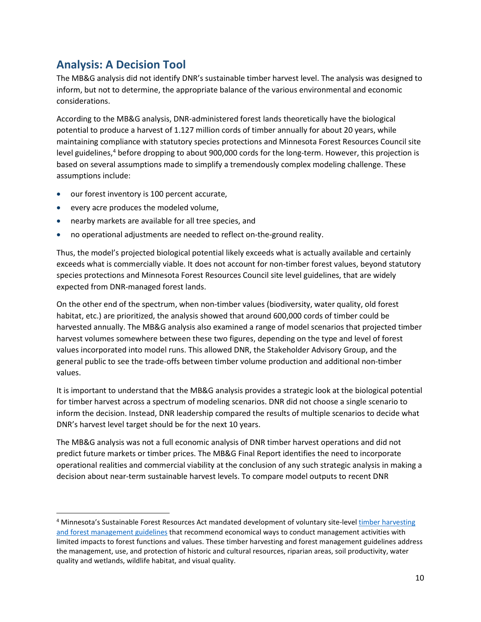## <span id="page-13-0"></span>**Analysis: A Decision Tool**

The MB&G analysis did not identify DNR's sustainable timber harvest level. The analysis was designed to inform, but not to determine, the appropriate balance of the various environmental and economic considerations.

According to the MB&G analysis, DNR-administered forest lands theoretically have the biological potential to produce a harvest of 1.127 million cords of timber annually for about 20 years, while maintaining compliance with statutory species protections and Minnesota Forest Resources Council site level guidelines,<sup>[4](#page-13-1)</sup> before dropping to about 900,000 cords for the long-term. However, this projection is based on several assumptions made to simplify a tremendously complex modeling challenge. These assumptions include:

- our forest inventory is 100 percent accurate,
- every acre produces the modeled volume,
- nearby markets are available for all tree species, and
- no operational adjustments are needed to reflect on-the-ground reality.

Thus, the model's projected biological potential likely exceeds what is actually available and certainly exceeds what is commercially viable. It does not account for non-timber forest values, beyond statutory species protections and Minnesota Forest Resources Council site level guidelines, that are widely expected from DNR-managed forest lands.

On the other end of the spectrum, when non-timber values (biodiversity, water quality, old forest habitat, etc.) are prioritized, the analysis showed that around 600,000 cords of timber could be harvested annually. The MB&G analysis also examined a range of model scenarios that projected timber harvest volumes somewhere between these two figures, depending on the type and level of forest values incorporated into model runs. This allowed DNR, the Stakeholder Advisory Group, and the general public to see the trade-offs between timber volume production and additional non-timber values.

It is important to understand that the MB&G analysis provides a strategic look at the biological potential for timber harvest across a spectrum of modeling scenarios. DNR did not choose a single scenario to inform the decision. Instead, DNR leadership compared the results of multiple scenarios to decide what DNR's harvest level target should be for the next 10 years.

The MB&G analysis was not a full economic analysis of DNR timber harvest operations and did not predict future markets or timber prices. The MB&G Final Report identifies the need to incorporate operational realities and commercial viability at the conclusion of any such strategic analysis in making a decision about near-term sustainable harvest levels. To compare model outputs to recent DNR

<span id="page-13-1"></span><sup>&</sup>lt;sup>4</sup> Minnesota's Sustainable Forest Resources Act mandated development of voluntary site-level timber harvesting [and forest management guidelines](https://mn.gov/frc/forest-management-guidelines.html) that recommend economical ways to conduct management activities with limited impacts to forest functions and values. These timber harvesting and forest management guidelines address the management, use, and protection of historic and cultural resources, riparian areas, soil productivity, water quality and wetlands, wildlife habitat, and visual quality.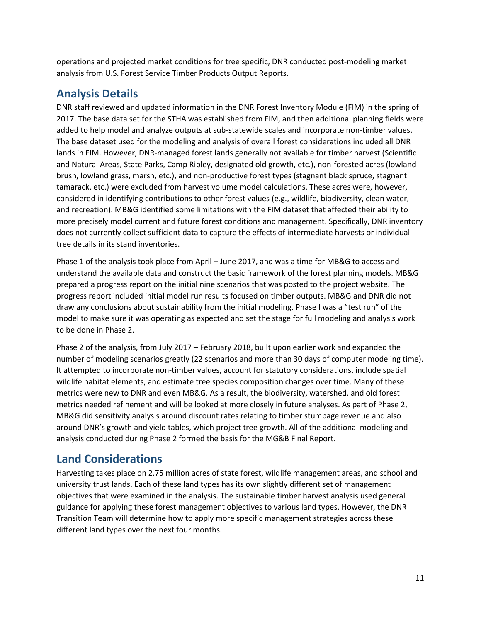operations and projected market conditions for tree specific, DNR conducted post-modeling market analysis from U.S. Forest Service Timber Products Output Reports.

## <span id="page-14-0"></span>**Analysis Details**

DNR staff reviewed and updated information in the DNR Forest Inventory Module (FIM) in the spring of 2017. The base data set for the STHA was established from FIM, and then additional planning fields were added to help model and analyze outputs at sub-statewide scales and incorporate non-timber values. The base dataset used for the modeling and analysis of overall forest considerations included all DNR lands in FIM. However, DNR-managed forest lands generally not available for timber harvest (Scientific and Natural Areas, State Parks, Camp Ripley, designated old growth, etc.), non-forested acres (lowland brush, lowland grass, marsh, etc.), and non-productive forest types (stagnant black spruce, stagnant tamarack, etc.) were excluded from harvest volume model calculations. These acres were, however, considered in identifying contributions to other forest values (e.g., wildlife, biodiversity, clean water, and recreation). MB&G identified some limitations with the FIM dataset that affected their ability to more precisely model current and future forest conditions and management. Specifically, DNR inventory does not currently collect sufficient data to capture the effects of intermediate harvests or individual tree details in its stand inventories.

Phase 1 of the analysis took place from April – June 2017, and was a time for MB&G to access and understand the available data and construct the basic framework of the forest planning models. MB&G prepared a progress report on the initial nine scenarios that was posted to the project website. The progress report included initial model run results focused on timber outputs. MB&G and DNR did not draw any conclusions about sustainability from the initial modeling. Phase I was a "test run" of the model to make sure it was operating as expected and set the stage for full modeling and analysis work to be done in Phase 2.

Phase 2 of the analysis, from July 2017 – February 2018, built upon earlier work and expanded the number of modeling scenarios greatly (22 scenarios and more than 30 days of computer modeling time). It attempted to incorporate non-timber values, account for statutory considerations, include spatial wildlife habitat elements, and estimate tree species composition changes over time. Many of these metrics were new to DNR and even MB&G. As a result, the biodiversity, watershed, and old forest metrics needed refinement and will be looked at more closely in future analyses. As part of Phase 2, MB&G did sensitivity analysis around discount rates relating to timber stumpage revenue and also around DNR's growth and yield tables, which project tree growth. All of the additional modeling and analysis conducted during Phase 2 formed the basis for the MG&B Final Report.

## <span id="page-14-1"></span>**Land Considerations**

Harvesting takes place on 2.75 million acres of state forest, wildlife management areas, and school and university trust lands. Each of these land types has its own slightly different set of management objectives that were examined in the analysis. The sustainable timber harvest analysis used general guidance for applying these forest management objectives to various land types. However, the DNR Transition Team will determine how to apply more specific management strategies across these different land types over the next four months.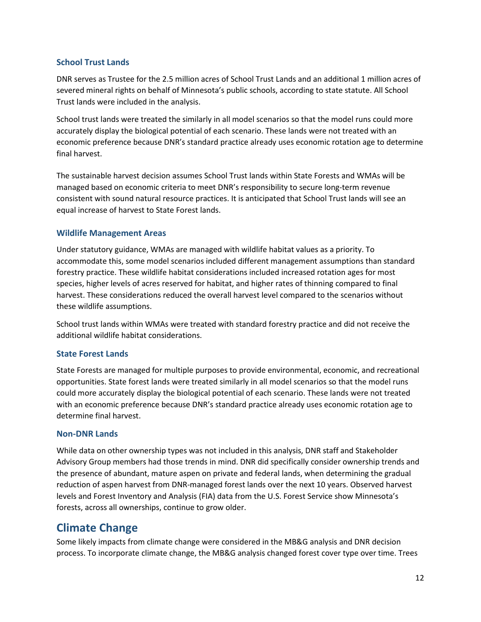#### <span id="page-15-0"></span>**School Trust Lands**

DNR serves as Trustee for the 2.5 million acres of School Trust Lands and an additional 1 million acres of severed mineral rights on behalf of Minnesota's public schools, according to state statute. All School Trust lands were included in the analysis.

School trust lands were treated the similarly in all model scenarios so that the model runs could more accurately display the biological potential of each scenario. These lands were not treated with an economic preference because DNR's standard practice already uses economic rotation age to determine final harvest.

The sustainable harvest decision assumes School Trust lands within State Forests and WMAs will be managed based on economic criteria to meet DNR's responsibility to secure long-term revenue consistent with sound natural resource practices. It is anticipated that School Trust lands will see an equal increase of harvest to State Forest lands.

#### <span id="page-15-1"></span>**Wildlife Management Areas**

Under statutory guidance, WMAs are managed with wildlife habitat values as a priority. To accommodate this, some model scenarios included different management assumptions than standard forestry practice. These wildlife habitat considerations included increased rotation ages for most species, higher levels of acres reserved for habitat, and higher rates of thinning compared to final harvest. These considerations reduced the overall harvest level compared to the scenarios without these wildlife assumptions.

School trust lands within WMAs were treated with standard forestry practice and did not receive the additional wildlife habitat considerations.

#### <span id="page-15-2"></span>**State Forest Lands**

State Forests are managed for multiple purposes to provide environmental, economic, and recreational opportunities. State forest lands were treated similarly in all model scenarios so that the model runs could more accurately display the biological potential of each scenario. These lands were not treated with an economic preference because DNR's standard practice already uses economic rotation age to determine final harvest.

#### <span id="page-15-3"></span>**Non-DNR Lands**

While data on other ownership types was not included in this analysis, DNR staff and Stakeholder Advisory Group members had those trends in mind. DNR did specifically consider ownership trends and the presence of abundant, mature aspen on private and federal lands, when determining the gradual reduction of aspen harvest from DNR-managed forest lands over the next 10 years. Observed harvest levels and Forest Inventory and Analysis (FIA) data from the U.S. Forest Service show Minnesota's forests, across all ownerships, continue to grow older.

### <span id="page-15-4"></span>**Climate Change**

Some likely impacts from climate change were considered in the MB&G analysis and DNR decision process. To incorporate climate change, the MB&G analysis changed forest cover type over time. Trees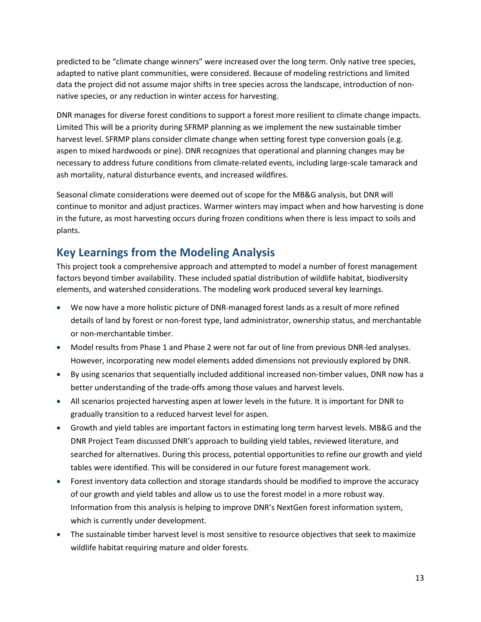predicted to be "climate change winners" were increased over the long term. Only native tree species, adapted to native plant communities, were considered. Because of modeling restrictions and limited data the project did not assume major shifts in tree species across the landscape, introduction of nonnative species, or any reduction in winter access for harvesting.

DNR manages for diverse forest conditions to support a forest more resilient to climate change impacts. Limited This will be a priority during SFRMP planning as we implement the new sustainable timber harvest level. SFRMP plans consider climate change when setting forest type conversion goals (e.g. aspen to mixed hardwoods or pine). DNR recognizes that operational and planning changes may be necessary to address future conditions from climate-related events, including large-scale tamarack and ash mortality, natural disturbance events, and increased wildfires.

Seasonal climate considerations were deemed out of scope for the MB&G analysis, but DNR will continue to monitor and adjust practices. Warmer winters may impact when and how harvesting is done in the future, as most harvesting occurs during frozen conditions when there is less impact to soils and plants.

## <span id="page-16-0"></span>**Key Learnings from the Modeling Analysis**

This project took a comprehensive approach and attempted to model a number of forest management factors beyond timber availability. These included spatial distribution of wildlife habitat, biodiversity elements, and watershed considerations. The modeling work produced several key learnings.

- We now have a more holistic picture of DNR-managed forest lands as a result of more refined details of land by forest or non-forest type, land administrator, ownership status, and merchantable or non-merchantable timber.
- Model results from Phase 1 and Phase 2 were not far out of line from previous DNR-led analyses. However, incorporating new model elements added dimensions not previously explored by DNR.
- By using scenarios that sequentially included additional increased non-timber values, DNR now has a better understanding of the trade-offs among those values and harvest levels.
- All scenarios projected harvesting aspen at lower levels in the future. It is important for DNR to gradually transition to a reduced harvest level for aspen.
- Growth and yield tables are important factors in estimating long term harvest levels. MB&G and the DNR Project Team discussed DNR's approach to building yield tables, reviewed literature, and searched for alternatives. During this process, potential opportunities to refine our growth and yield tables were identified. This will be considered in our future forest management work.
- Forest inventory data collection and storage standards should be modified to improve the accuracy of our growth and yield tables and allow us to use the forest model in a more robust way. Information from this analysis is helping to improve DNR's NextGen forest information system, which is currently under development.
- The sustainable timber harvest level is most sensitive to resource objectives that seek to maximize wildlife habitat requiring mature and older forests.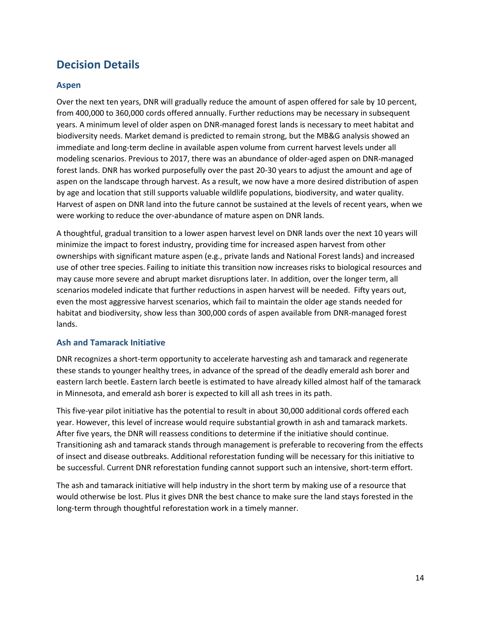## <span id="page-17-0"></span>**Decision Details**

#### <span id="page-17-1"></span>**Aspen**

Over the next ten years, DNR will gradually reduce the amount of aspen offered for sale by 10 percent, from 400,000 to 360,000 cords offered annually. Further reductions may be necessary in subsequent years. A minimum level of older aspen on DNR-managed forest lands is necessary to meet habitat and biodiversity needs. Market demand is predicted to remain strong, but the MB&G analysis showed an immediate and long-term decline in available aspen volume from current harvest levels under all modeling scenarios. Previous to 2017, there was an abundance of older-aged aspen on DNR-managed forest lands. DNR has worked purposefully over the past 20-30 years to adjust the amount and age of aspen on the landscape through harvest. As a result, we now have a more desired distribution of aspen by age and location that still supports valuable wildlife populations, biodiversity, and water quality. Harvest of aspen on DNR land into the future cannot be sustained at the levels of recent years, when we were working to reduce the over-abundance of mature aspen on DNR lands.

A thoughtful, gradual transition to a lower aspen harvest level on DNR lands over the next 10 years will minimize the impact to forest industry, providing time for increased aspen harvest from other ownerships with significant mature aspen (e.g., private lands and National Forest lands) and increased use of other tree species. Failing to initiate this transition now increases risks to biological resources and may cause more severe and abrupt market disruptions later. In addition, over the longer term, all scenarios modeled indicate that further reductions in aspen harvest will be needed. Fifty years out, even the most aggressive harvest scenarios, which fail to maintain the older age stands needed for habitat and biodiversity, show less than 300,000 cords of aspen available from DNR-managed forest lands.

#### <span id="page-17-2"></span>**Ash and Tamarack Initiative**

DNR recognizes a short-term opportunity to accelerate harvesting ash and tamarack and regenerate these stands to younger healthy trees, in advance of the spread of the deadly emerald ash borer and eastern larch beetle. Eastern larch beetle is estimated to have already killed almost half of the tamarack in Minnesota, and emerald ash borer is expected to kill all ash trees in its path.

This five-year pilot initiative has the potential to result in about 30,000 additional cords offered each year. However, this level of increase would require substantial growth in ash and tamarack markets. After five years, the DNR will reassess conditions to determine if the initiative should continue. Transitioning ash and tamarack stands through management is preferable to recovering from the effects of insect and disease outbreaks. Additional reforestation funding will be necessary for this initiative to be successful. Current DNR reforestation funding cannot support such an intensive, short-term effort.

The ash and tamarack initiative will help industry in the short term by making use of a resource that would otherwise be lost. Plus it gives DNR the best chance to make sure the land stays forested in the long-term through thoughtful reforestation work in a timely manner.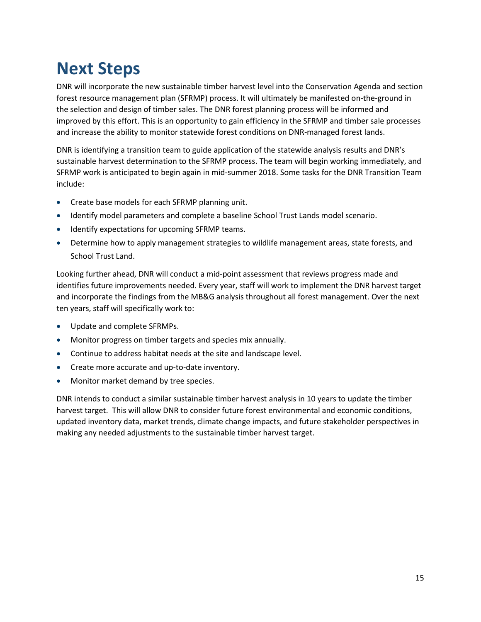# <span id="page-18-0"></span>**Next Steps**

DNR will incorporate the new sustainable timber harvest level into the Conservation Agenda and section forest resource management plan (SFRMP) process. It will ultimately be manifested on-the-ground in the selection and design of timber sales. The DNR forest planning process will be informed and improved by this effort. This is an opportunity to gain efficiency in the SFRMP and timber sale processes and increase the ability to monitor statewide forest conditions on DNR-managed forest lands.

DNR is identifying a transition team to guide application of the statewide analysis results and DNR's sustainable harvest determination to the SFRMP process. The team will begin working immediately, and SFRMP work is anticipated to begin again in mid-summer 2018. Some tasks for the DNR Transition Team include:

- Create base models for each SFRMP planning unit.
- Identify model parameters and complete a baseline School Trust Lands model scenario.
- Identify expectations for upcoming SFRMP teams.
- Determine how to apply management strategies to wildlife management areas, state forests, and School Trust Land.

Looking further ahead, DNR will conduct a mid-point assessment that reviews progress made and identifies future improvements needed. Every year, staff will work to implement the DNR harvest target and incorporate the findings from the MB&G analysis throughout all forest management. Over the next ten years, staff will specifically work to:

- Update and complete SFRMPs.
- Monitor progress on timber targets and species mix annually.
- Continue to address habitat needs at the site and landscape level.
- Create more accurate and up-to-date inventory.
- Monitor market demand by tree species.

DNR intends to conduct a similar sustainable timber harvest analysis in 10 years to update the timber harvest target. This will allow DNR to consider future forest environmental and economic conditions, updated inventory data, market trends, climate change impacts, and future stakeholder perspectives in making any needed adjustments to the sustainable timber harvest target.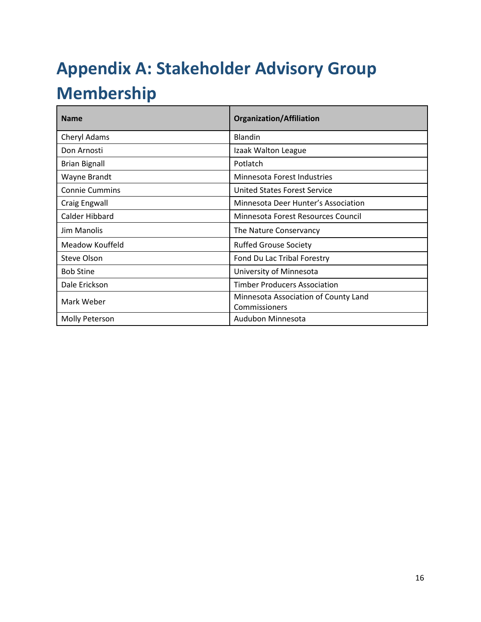# <span id="page-19-0"></span>**Appendix A: Stakeholder Advisory Group Membership**

| <b>Name</b>           | <b>Organization/Affiliation</b>                       |
|-----------------------|-------------------------------------------------------|
| Cheryl Adams          | <b>Blandin</b>                                        |
| Don Arnosti           | Izaak Walton League                                   |
| <b>Brian Bignall</b>  | Potlatch                                              |
| Wayne Brandt          | Minnesota Forest Industries                           |
| <b>Connie Cummins</b> | United States Forest Service                          |
| <b>Craig Engwall</b>  | Minnesota Deer Hunter's Association                   |
| Calder Hibbard        | Minnesota Forest Resources Council                    |
| Jim Manolis           | The Nature Conservancy                                |
| Meadow Kouffeld       | <b>Ruffed Grouse Society</b>                          |
| Steve Olson           | Fond Du Lac Tribal Forestry                           |
| <b>Bob Stine</b>      | University of Minnesota                               |
| Dale Erickson         | <b>Timber Producers Association</b>                   |
| Mark Weber            | Minnesota Association of County Land<br>Commissioners |
| Molly Peterson        | Audubon Minnesota                                     |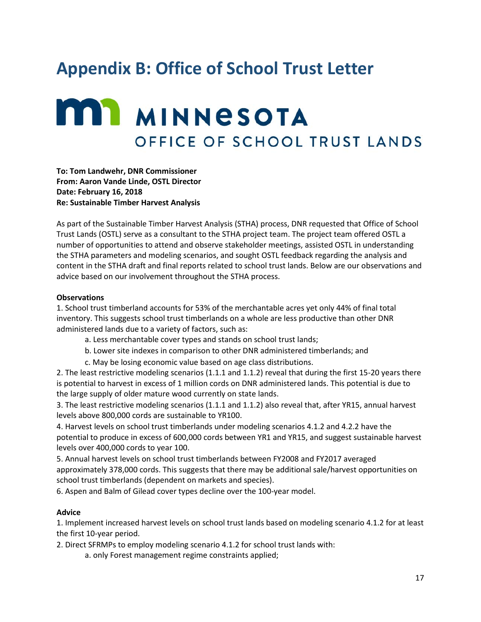# <span id="page-20-0"></span>**Appendix B: Office of School Trust Letter**

# **MIN** MINNESOTA OFFICE OF SCHOOL TRUST LANDS

**To: Tom Landwehr, DNR Commissioner From: Aaron Vande Linde, OSTL Director Date: February 16, 2018 Re: Sustainable Timber Harvest Analysis** 

As part of the Sustainable Timber Harvest Analysis (STHA) process, DNR requested that Office of School Trust Lands (OSTL) serve as a consultant to the STHA project team. The project team offered OSTL a number of opportunities to attend and observe stakeholder meetings, assisted OSTL in understanding the STHA parameters and modeling scenarios, and sought OSTL feedback regarding the analysis and content in the STHA draft and final reports related to school trust lands. Below are our observations and advice based on our involvement throughout the STHA process.

#### **Observations**

1. School trust timberland accounts for 53% of the merchantable acres yet only 44% of final total inventory. This suggests school trust timberlands on a whole are less productive than other DNR administered lands due to a variety of factors, such as:

- a. Less merchantable cover types and stands on school trust lands;
- b. Lower site indexes in comparison to other DNR administered timberlands; and
- c. May be losing economic value based on age class distributions.

2. The least restrictive modeling scenarios (1.1.1 and 1.1.2) reveal that during the first 15-20 years there is potential to harvest in excess of 1 million cords on DNR administered lands. This potential is due to the large supply of older mature wood currently on state lands.

3. The least restrictive modeling scenarios (1.1.1 and 1.1.2) also reveal that, after YR15, annual harvest levels above 800,000 cords are sustainable to YR100.

4. Harvest levels on school trust timberlands under modeling scenarios 4.1.2 and 4.2.2 have the potential to produce in excess of 600,000 cords between YR1 and YR15, and suggest sustainable harvest levels over 400,000 cords to year 100.

5. Annual harvest levels on school trust timberlands between FY2008 and FY2017 averaged approximately 378,000 cords. This suggests that there may be additional sale/harvest opportunities on school trust timberlands (dependent on markets and species).

6. Aspen and Balm of Gilead cover types decline over the 100-year model.

#### **Advice**

1. Implement increased harvest levels on school trust lands based on modeling scenario 4.1.2 for at least the first 10-year period.

2. Direct SFRMPs to employ modeling scenario 4.1.2 for school trust lands with:

a. only Forest management regime constraints applied;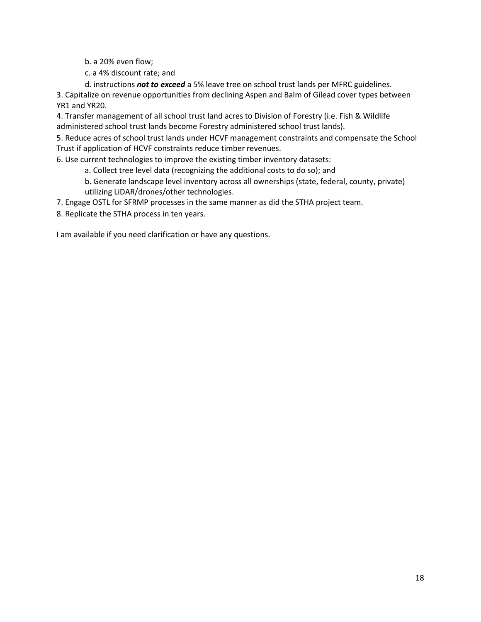b. a 20% even flow;

c. a 4% discount rate; and

d. instructions *not to exceed* a 5% leave tree on school trust lands per MFRC guidelines.

3. Capitalize on revenue opportunities from declining Aspen and Balm of Gilead cover types between YR1 and YR20.

4. Transfer management of all school trust land acres to Division of Forestry (i.e. Fish & Wildlife administered school trust lands become Forestry administered school trust lands).

5. Reduce acres of school trust lands under HCVF management constraints and compensate the School Trust if application of HCVF constraints reduce timber revenues.

6. Use current technologies to improve the existing timber inventory datasets:

a. Collect tree level data (recognizing the additional costs to do so); and

b. Generate landscape level inventory across all ownerships (state, federal, county, private) utilizing LiDAR/drones/other technologies.

7. Engage OSTL for SFRMP processes in the same manner as did the STHA project team.

8. Replicate the STHA process in ten years.

I am available if you need clarification or have any questions.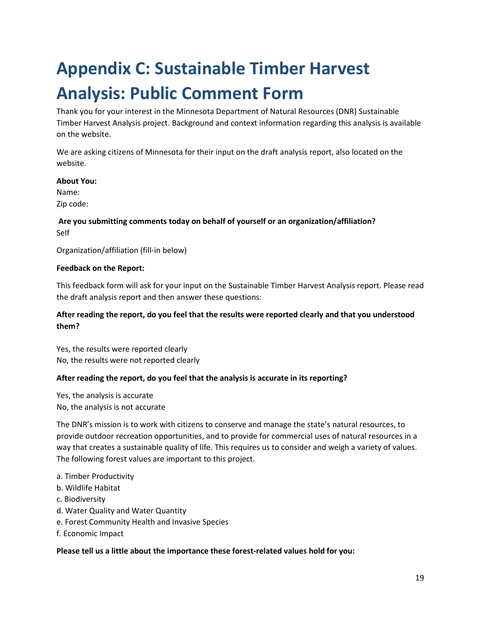# <span id="page-22-0"></span>**Appendix C: Sustainable Timber Harvest Analysis: Public Comment Form**

Thank you for your interest in the Minnesota Department of Natural Resources (DNR) Sustainable Timber Harvest Analysis project. Background and context information regarding this analysis is available on the website.

We are asking citizens of Minnesota for their input on the draft analysis report, also located on the website.

#### **About You:**

Name:

Zip code:

#### **Are you submitting comments today on behalf of yourself or an organization/affiliation?** Self

Organization/affiliation (fill-in below)

#### **Feedback on the Report:**

This feedback form will ask for your input on the Sustainable Timber Harvest Analysis report. Please read the draft analysis report and then answer these questions:

#### **After reading the report, do you feel that the results were reported clearly and that you understood them?**

Yes, the results were reported clearly No, the results were not reported clearly

#### **After reading the report, do you feel that the analysis is accurate in its reporting?**

Yes, the analysis is accurate No, the analysis is not accurate

The DNR's mission is to work with citizens to conserve and manage the state's natural resources, to provide outdoor recreation opportunities, and to provide for commercial uses of natural resources in a way that creates a sustainable quality of life. This requires us to consider and weigh a variety of values. The following forest values are important to this project.

#### a. Timber Productivity

- b. Wildlife Habitat
- c. Biodiversity
- d. Water Quality and Water Quantity
- e. Forest Community Health and Invasive Species
- f. Economic Impact

#### **Please tell us a little about the importance these forest-related values hold for you:**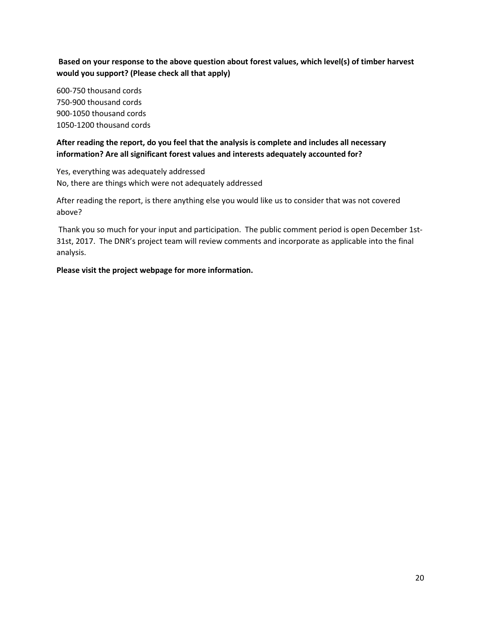**Based on your response to the above question about forest values, which level(s) of timber harvest would you support? (Please check all that apply)**

600-750 thousand cords 750-900 thousand cords 900-1050 thousand cords 1050-1200 thousand cords

**After reading the report, do you feel that the analysis is complete and includes all necessary information? Are all significant forest values and interests adequately accounted for?**

Yes, everything was adequately addressed No, there are things which were not adequately addressed

After reading the report, is there anything else you would like us to consider that was not covered above?

Thank you so much for your input and participation. The public comment period is open December 1st-31st, 2017. The DNR's project team will review comments and incorporate as applicable into the final analysis.

**Please visit the project webpage for more information.**